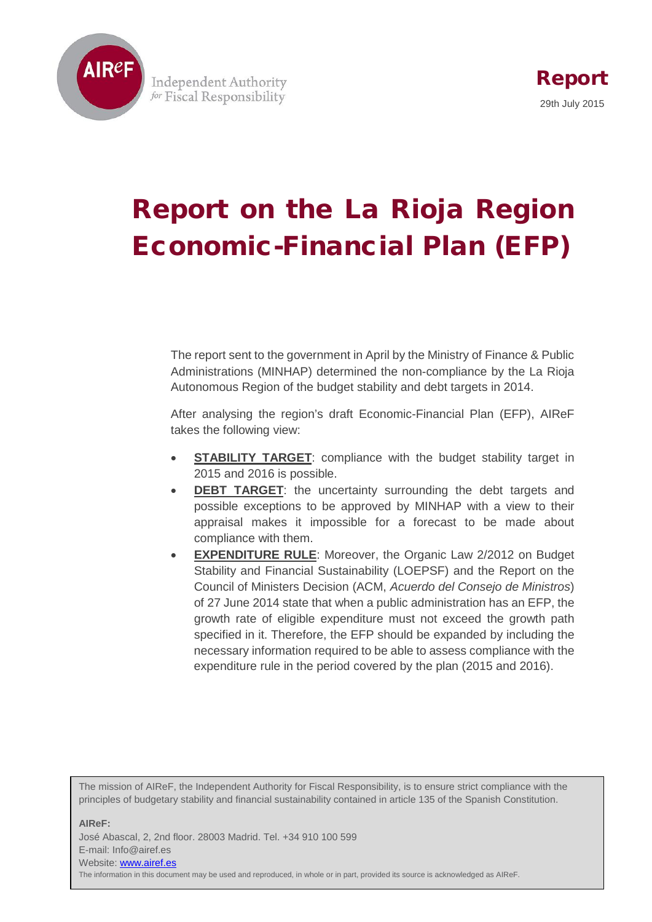

# Report on the La Rioja Region Economic-Financial Plan (EFP)

The report sent to the government in April by the Ministry of Finance & Public Administrations (MINHAP) determined the non-compliance by the La Rioja Autonomous Region of the budget stability and debt targets in 2014.

After analysing the region's draft Economic-Financial Plan (EFP), AIReF takes the following view:

- **STABILITY TARGET:** compliance with the budget stability target in 2015 and 2016 is possible.
- **DEBT TARGET**: the uncertainty surrounding the debt targets and possible exceptions to be approved by MINHAP with a view to their appraisal makes it impossible for a forecast to be made about compliance with them.
- **EXPENDITURE RULE:** Moreover, the Organic Law 2/2012 on Budget Stability and Financial Sustainability (LOEPSF) and the Report on the Council of Ministers Decision (ACM, *Acuerdo del Consejo de Ministros*) of 27 June 2014 state that when a public administration has an EFP, the growth rate of eligible expenditure must not exceed the growth path specified in it. Therefore, the EFP should be expanded by including the necessary information required to be able to assess compliance with the expenditure rule in the period covered by the plan (2015 and 2016).

The mission of AIReF, the Independent Authority for Fiscal Responsibility, is to ensure strict compliance with the principles of budgetary stability and financial sustainability contained in article 135 of the Spanish Constitution.

#### **AIReF:**

José Abascal, 2, 2nd floor. 28003 Madrid. Tel. +34 910 100 599 E-mail: Info@airef.es Website[: www.airef.es](http://www.airef.es/)  The information in this document may be used and reproduced, in whole or in part, provided its source is acknowledged as AIReF.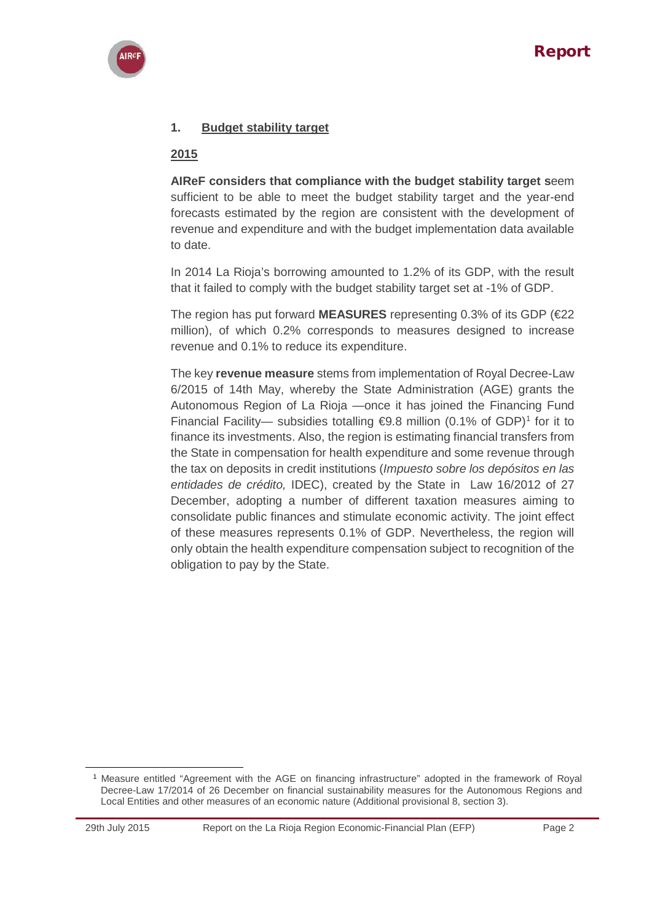

#### **1. Budget stability target**

#### **2015**

**AIReF considers that compliance with the budget stability target s**eem sufficient to be able to meet the budget stability target and the year-end forecasts estimated by the region are consistent with the development of revenue and expenditure and with the budget implementation data available to date.

In 2014 La Rioja's borrowing amounted to 1.2% of its GDP, with the result that it failed to comply with the budget stability target set at -1% of GDP.

The region has put forward **MEASURES** representing 0.3% of its GDP (€22 million), of which 0.2% corresponds to measures designed to increase revenue and 0.1% to reduce its expenditure.

The key **revenue measure** stems from implementation of Royal Decree-Law 6/2015 of 14th May, whereby the State Administration (AGE) grants the Autonomous Region of La Rioja —once it has joined the Financing Fund Financial Facility— subsidies totalling  $\epsilon$ 9.8 million (0.[1](#page-1-0)% of GDP)<sup>1</sup> for it to finance its investments. Also, the region is estimating financial transfers from the State in compensation for health expenditure and some revenue through the tax on deposits in credit institutions (*Impuesto sobre los depósitos en las entidades de crédito,* IDEC), created by the State in Law 16/2012 of 27 December, adopting a number of different taxation measures aiming to consolidate public finances and stimulate economic activity. The joint effect of these measures represents 0.1% of GDP. Nevertheless, the region will only obtain the health expenditure compensation subject to recognition of the obligation to pay by the State.

<span id="page-1-0"></span>**.** 

<sup>1</sup> Measure entitled "Agreement with the AGE on financing infrastructure" adopted in the framework of Royal Decree-Law 17/2014 of 26 December on financial sustainability measures for the Autonomous Regions and Local Entities and other measures of an economic nature (Additional provisional 8, section 3).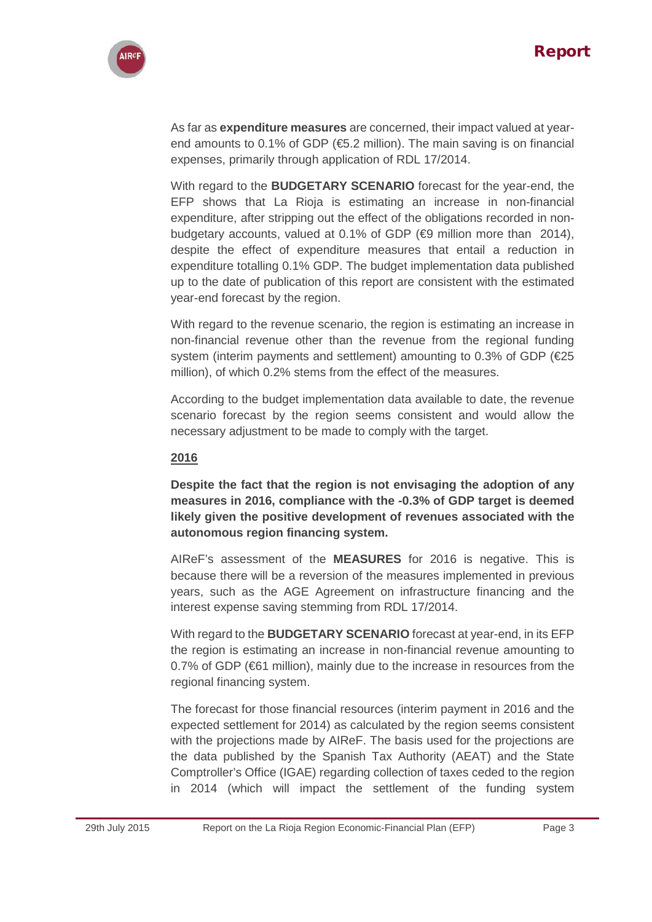## Report



As far as **expenditure measures** are concerned, their impact valued at yearend amounts to 0.1% of GDP ( $\bigoplus$ .2 million). The main saving is on financial expenses, primarily through application of RDL 17/2014.

With regard to the **BUDGETARY SCENARIO** forecast for the year-end, the EFP shows that La Rioja is estimating an increase in non-financial expenditure, after stripping out the effect of the obligations recorded in nonbudgetary accounts, valued at 0.1% of GDP (€9 million more than 2014), despite the effect of expenditure measures that entail a reduction in expenditure totalling 0.1% GDP. The budget implementation data published up to the date of publication of this report are consistent with the estimated year-end forecast by the region.

With regard to the revenue scenario, the region is estimating an increase in non-financial revenue other than the revenue from the regional funding system (interim payments and settlement) amounting to 0.3% of GDP (€25 million), of which 0.2% stems from the effect of the measures.

According to the budget implementation data available to date, the revenue scenario forecast by the region seems consistent and would allow the necessary adjustment to be made to comply with the target.

#### **2016**

**Despite the fact that the region is not envisaging the adoption of any measures in 2016, compliance with the -0.3% of GDP target is deemed likely given the positive development of revenues associated with the autonomous region financing system.** 

AIReF's assessment of the **MEASURES** for 2016 is negative. This is because there will be a reversion of the measures implemented in previous years, such as the AGE Agreement on infrastructure financing and the interest expense saving stemming from RDL 17/2014.

With regard to the **BUDGETARY SCENARIO** forecast at year-end, in its EFP the region is estimating an increase in non-financial revenue amounting to 0.7% of GDP (€61 million), mainly due to the increase in resources from the regional financing system.

The forecast for those financial resources (interim payment in 2016 and the expected settlement for 2014) as calculated by the region seems consistent with the projections made by AIReF. The basis used for the projections are the data published by the Spanish Tax Authority (AEAT) and the State Comptroller's Office (IGAE) regarding collection of taxes ceded to the region in 2014 (which will impact the settlement of the funding system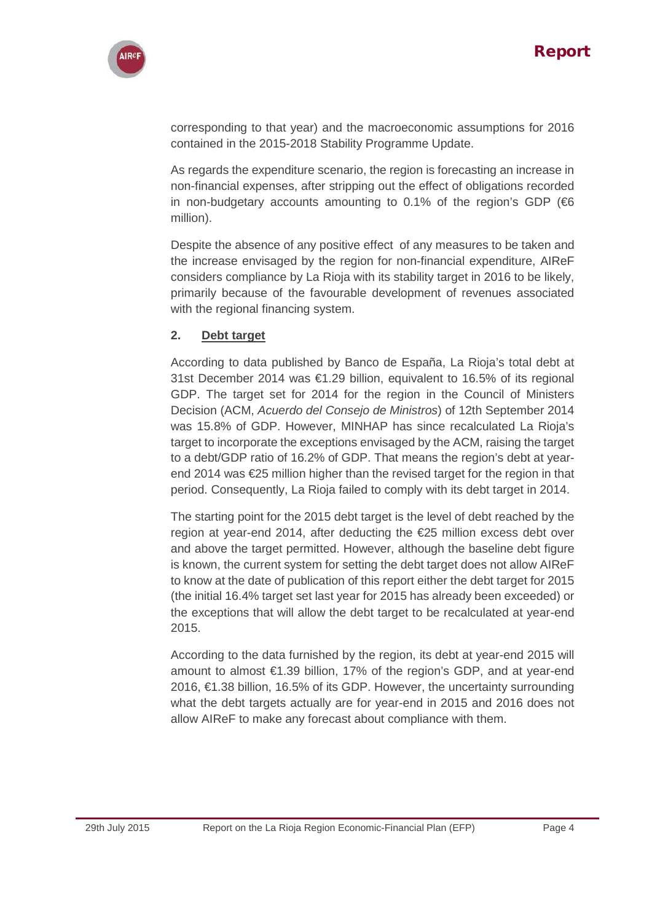



corresponding to that year) and the macroeconomic assumptions for 2016 contained in the 2015-2018 Stability Programme Update.

As regards the expenditure scenario, the region is forecasting an increase in non-financial expenses, after stripping out the effect of obligations recorded in non-budgetary accounts amounting to 0.1% of the region's GDP ( $66$ million).

Despite the absence of any positive effect of any measures to be taken and the increase envisaged by the region for non-financial expenditure, AIReF considers compliance by La Rioja with its stability target in 2016 to be likely, primarily because of the favourable development of revenues associated with the regional financing system.

#### **2. Debt target**

According to data published by Banco de España, La Rioja's total debt at 31st December 2014 was €1.29 billion, equivalent to 16.5% of its regional GDP. The target set for 2014 for the region in the Council of Ministers Decision (ACM, *Acuerdo del Consejo de Ministros*) of 12th September 2014 was 15.8% of GDP. However, MINHAP has since recalculated La Rioja's target to incorporate the exceptions envisaged by the ACM, raising the target to a debt/GDP ratio of 16.2% of GDP. That means the region's debt at yearend 2014 was €25 million higher than the revised target for the region in that period. Consequently, La Rioja failed to comply with its debt target in 2014.

The starting point for the 2015 debt target is the level of debt reached by the region at year-end 2014, after deducting the €25 million excess debt over and above the target permitted. However, although the baseline debt figure is known, the current system for setting the debt target does not allow AIReF to know at the date of publication of this report either the debt target for 2015 (the initial 16.4% target set last year for 2015 has already been exceeded) or the exceptions that will allow the debt target to be recalculated at year-end 2015.

According to the data furnished by the region, its debt at year-end 2015 will amount to almost €1.39 billion, 17% of the region's GDP, and at year-end 2016, €1.38 billion, 16.5% of its GDP. However, the uncertainty surrounding what the debt targets actually are for year-end in 2015 and 2016 does not allow AIReF to make any forecast about compliance with them.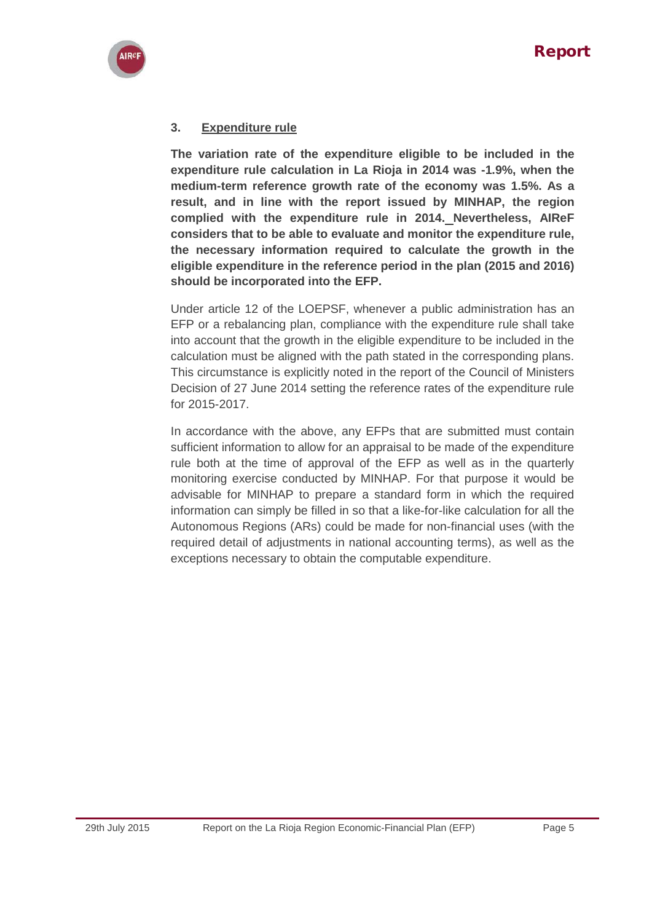

#### **3. Expenditure rule**

**The variation rate of the expenditure eligible to be included in the expenditure rule calculation in La Rioja in 2014 was -1.9%, when the medium-term reference growth rate of the economy was 1.5%. As a result, and in line with the report issued by MINHAP, the region complied with the expenditure rule in 2014. Nevertheless, AIReF considers that to be able to evaluate and monitor the expenditure rule, the necessary information required to calculate the growth in the eligible expenditure in the reference period in the plan (2015 and 2016) should be incorporated into the EFP.** 

Under article 12 of the LOEPSF, whenever a public administration has an EFP or a rebalancing plan, compliance with the expenditure rule shall take into account that the growth in the eligible expenditure to be included in the calculation must be aligned with the path stated in the corresponding plans. This circumstance is explicitly noted in the report of the Council of Ministers Decision of 27 June 2014 setting the reference rates of the expenditure rule for 2015-2017.

In accordance with the above, any EFPs that are submitted must contain sufficient information to allow for an appraisal to be made of the expenditure rule both at the time of approval of the EFP as well as in the quarterly monitoring exercise conducted by MINHAP. For that purpose it would be advisable for MINHAP to prepare a standard form in which the required information can simply be filled in so that a like-for-like calculation for all the Autonomous Regions (ARs) could be made for non-financial uses (with the required detail of adjustments in national accounting terms), as well as the exceptions necessary to obtain the computable expenditure.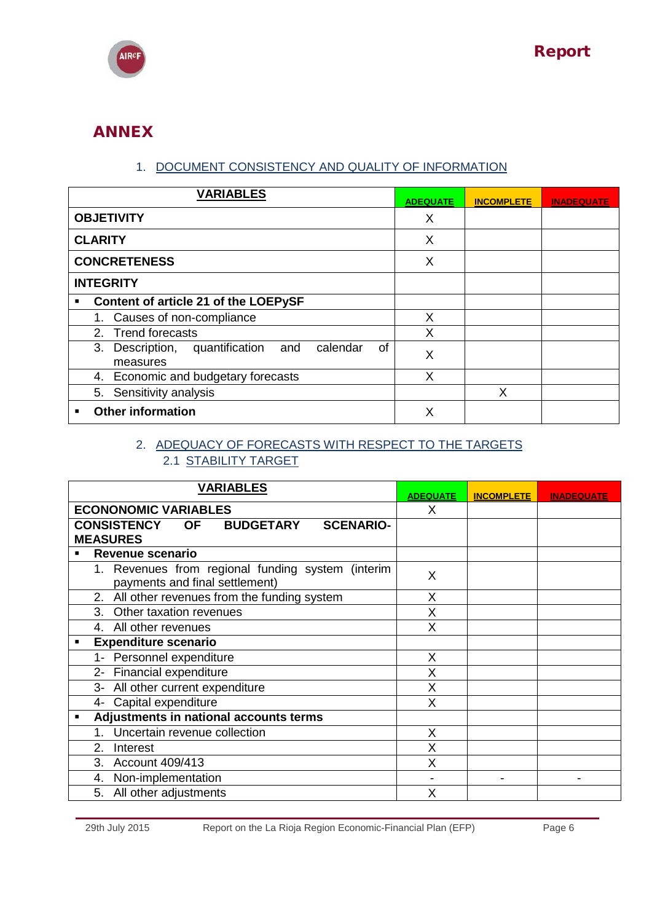

# ANNEX

#### 1. DOCUMENT CONSISTENCY AND QUALITY OF INFORMATION

| <b>VARIABLES</b>                                                       | <b>ADEQUATE</b> | <b>INCOMPLETE</b> | <b>INADEQUATE</b> |
|------------------------------------------------------------------------|-----------------|-------------------|-------------------|
| <b>OBJETIVITY</b>                                                      | X               |                   |                   |
| <b>CLARITY</b>                                                         | X               |                   |                   |
| <b>CONCRETENESS</b>                                                    | X               |                   |                   |
| <b>INTEGRITY</b>                                                       |                 |                   |                   |
| Content of article 21 of the LOEPySF<br>٠                              |                 |                   |                   |
| 1. Causes of non-compliance                                            | X               |                   |                   |
| 2. Trend forecasts                                                     | x               |                   |                   |
| Description, quantification<br>calendar<br>of<br>3.<br>and<br>measures | X               |                   |                   |
| 4. Economic and budgetary forecasts                                    | X               |                   |                   |
| 5. Sensitivity analysis                                                |                 | X                 |                   |
| <b>Other information</b>                                               | Χ               |                   |                   |

### 2. ADEQUACY OF FORECASTS WITH RESPECT TO THE TARGETS 2.1 STABILITY TARGET

| <b>VARIABLES</b>                                                                    | <b>ADEQUATE</b> | <b>INCOMPLETE</b> | <b>INADEQUATE</b> |
|-------------------------------------------------------------------------------------|-----------------|-------------------|-------------------|
| <b>ECONONOMIC VARIABLES</b>                                                         | X               |                   |                   |
| <b>CONSISTENCY</b><br><b>BUDGETARY</b><br><b>OF</b><br><b>SCENARIO-</b>             |                 |                   |                   |
| <b>MEASURES</b>                                                                     |                 |                   |                   |
| Revenue scenario                                                                    |                 |                   |                   |
| 1. Revenues from regional funding system (interim<br>payments and final settlement) | X               |                   |                   |
| 2. All other revenues from the funding system                                       | X               |                   |                   |
| Other taxation revenues<br>3.                                                       | Χ               |                   |                   |
| 4. All other revenues                                                               | X               |                   |                   |
| <b>Expenditure scenario</b><br>٠                                                    |                 |                   |                   |
| 1- Personnel expenditure                                                            | X               |                   |                   |
| 2- Financial expenditure                                                            | X               |                   |                   |
| 3- All other current expenditure                                                    | X               |                   |                   |
| 4- Capital expenditure                                                              | Χ               |                   |                   |
| Adjustments in national accounts terms                                              |                 |                   |                   |
| Uncertain revenue collection                                                        | X               |                   |                   |
| 2.<br>Interest                                                                      | Χ               |                   |                   |
| Account 409/413<br>3.                                                               | X               |                   |                   |
| Non-implementation<br>4.                                                            |                 |                   |                   |
| All other adjustments<br>5.                                                         | Χ               |                   |                   |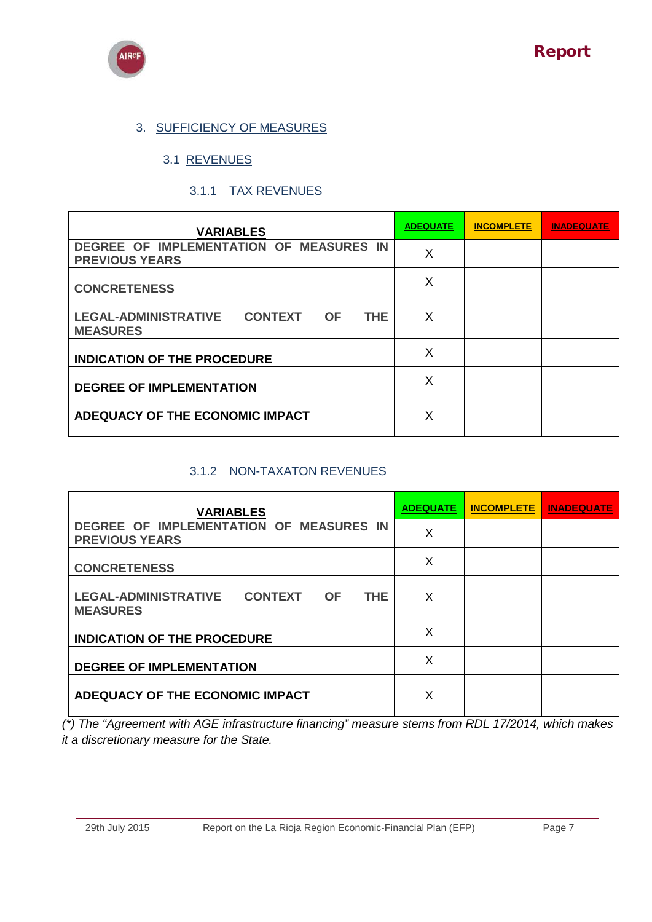

#### 3. SUFFICIENCY OF MEASURES

### 3.1 REVENUES

#### 3.1.1 TAX REVENUES

| <b>VARIABLES</b>                                                                      | <b>ADEQUATE</b> | <b>INCOMPLETE</b> | <b>INADEQUATE</b> |
|---------------------------------------------------------------------------------------|-----------------|-------------------|-------------------|
| DEGREE OF IMPLEMENTATION OF MEASURES IN<br><b>PREVIOUS YEARS</b>                      | X               |                   |                   |
| <b>CONCRETENESS</b>                                                                   | X               |                   |                   |
| <b>LEGAL-ADMINISTRATIVE</b><br><b>CONTEXT</b><br><b>OF</b><br>THE.<br><b>MEASURES</b> | X               |                   |                   |
| <b>INDICATION OF THE PROCEDURE</b>                                                    | X               |                   |                   |
| <b>DEGREE OF IMPLEMENTATION</b>                                                       | X               |                   |                   |
| ADEQUACY OF THE ECONOMIC IMPACT                                                       | Χ               |                   |                   |

#### 3.1.2 NON-TAXATON REVENUES

| <b>VARIABLES</b>                                                 | <b>ADEQUATE</b> | <b>INCOMPLETE</b> | <b>INADEQUATE</b> |
|------------------------------------------------------------------|-----------------|-------------------|-------------------|
| DEGREE OF IMPLEMENTATION OF MEASURES IN<br><b>PREVIOUS YEARS</b> | X               |                   |                   |
| <b>CONCRETENESS</b>                                              | X               |                   |                   |
| LEGAL-ADMINISTRATIVE CONTEXT OF<br>THE.<br><b>MEASURES</b>       | X               |                   |                   |
| <b>INDICATION OF THE PROCEDURE</b>                               | X               |                   |                   |
| <b>DEGREE OF IMPLEMENTATION</b>                                  | X               |                   |                   |
| ADEQUACY OF THE ECONOMIC IMPACT                                  | Х               |                   |                   |

*(\*) The "Agreement with AGE infrastructure financing" measure stems from RDL 17/2014, which makes it a discretionary measure for the State.*